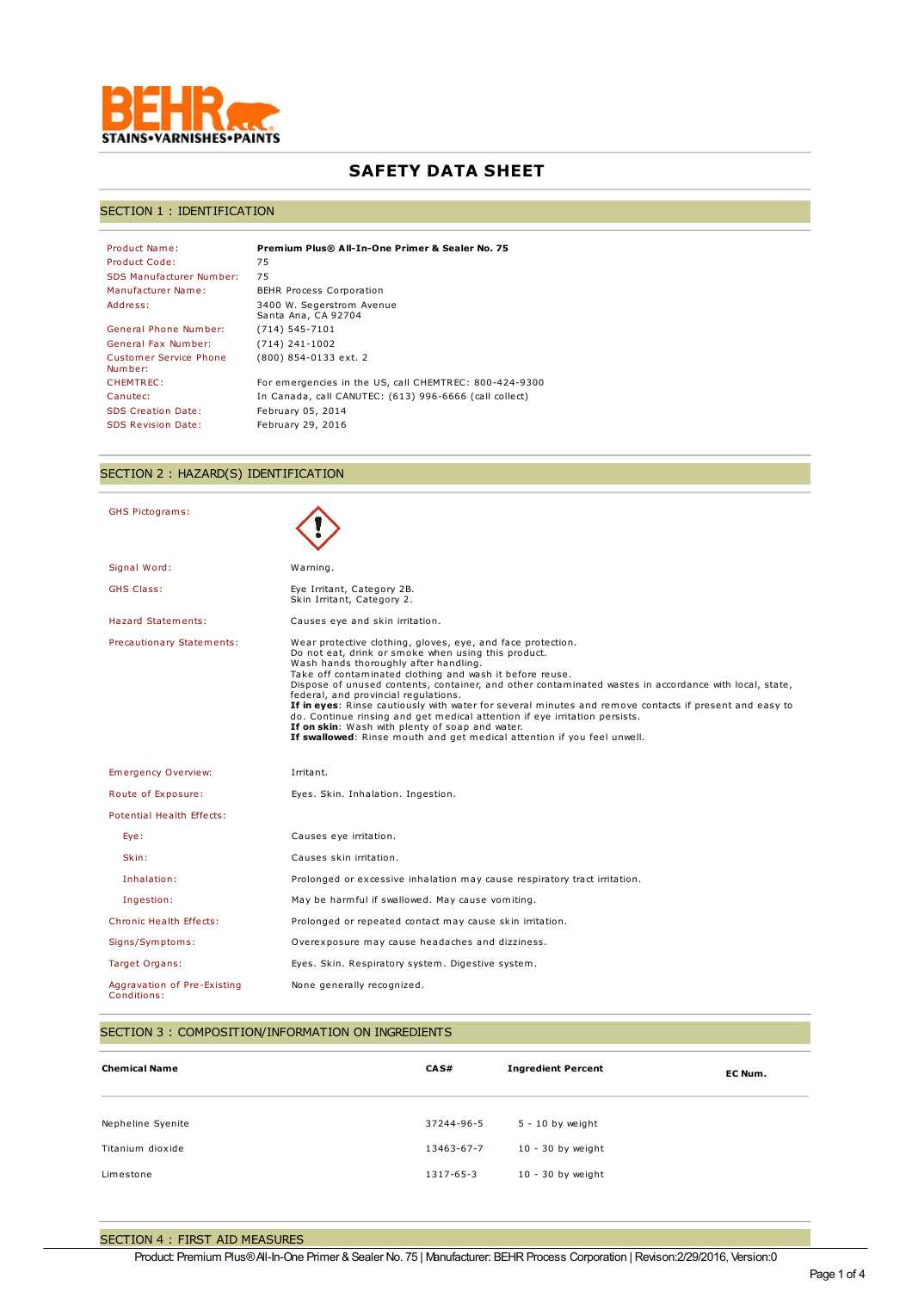

# **SAFETY DATA SHEET**

## SECTION 1 : IDENTIFICATION

| Product Name:                     | Premium Plus® All-In-One Primer & Sealer No. 75        |
|-----------------------------------|--------------------------------------------------------|
| Product Code:                     | 75                                                     |
| SDS Manufacturer Number:          | 75                                                     |
| Manufacturer Name:                | <b>BEHR Process Corporation</b>                        |
| Address:                          | 3400 W. Segerstrom Avenue<br>Santa Ana, CA 92704       |
| General Phone Number:             | $(714) 545 - 7101$                                     |
| General Fax Number:               | $(714)$ 241-1002                                       |
| Customer Service Phone<br>Number: | (800) 854-0133 ext. 2                                  |
| CHEMTREC:                         | For emergencies in the US, call CHEMTREC: 800-424-9300 |
| Canutec:                          | In Canada, call CANUTEC: (613) 996-6666 (call collect) |
| <b>SDS Creation Date:</b>         | February 05, 2014                                      |
| <b>SDS Revision Date:</b>         | February 29, 2016                                      |

# SECTION 2 : HAZARD(S) IDENTIFICATION

| <b>GHS Pictograms:</b>                     |                                                                                                                                                                                                                                                                                                                                                                                                                                                                                                                                                                                                                                                                                                |
|--------------------------------------------|------------------------------------------------------------------------------------------------------------------------------------------------------------------------------------------------------------------------------------------------------------------------------------------------------------------------------------------------------------------------------------------------------------------------------------------------------------------------------------------------------------------------------------------------------------------------------------------------------------------------------------------------------------------------------------------------|
| Signal Word:                               | Warning.                                                                                                                                                                                                                                                                                                                                                                                                                                                                                                                                                                                                                                                                                       |
| <b>GHS Class:</b>                          | Eye Irritant, Category 2B.<br>Skin Irritant, Category 2.                                                                                                                                                                                                                                                                                                                                                                                                                                                                                                                                                                                                                                       |
| Hazard Statements:                         | Causes eye and skin irritation.                                                                                                                                                                                                                                                                                                                                                                                                                                                                                                                                                                                                                                                                |
| Precautionary Statements:                  | Wear protective clothing, gloves, eye, and face protection.<br>Do not eat, drink or smoke when using this product.<br>Wash hands thoroughly after handling.<br>Take off contaminated clothing and wash it before reuse.<br>Dispose of unused contents, container, and other contaminated wastes in accordance with local, state,<br>federal, and provincial regulations.<br>If in eyes: Rinse cautiously with water for several minutes and remove contacts if present and easy to<br>do. Continue rinsing and get medical attention if eye irritation persists.<br>If on skin: Wash with plenty of soap and water.<br>If swallowed: Rinse mouth and get medical attention if you feel unwell. |
| Emergency Overview:                        | Irritant.                                                                                                                                                                                                                                                                                                                                                                                                                                                                                                                                                                                                                                                                                      |
| Route of Exposure:                         | Eyes. Skin. Inhalation. Ingestion.                                                                                                                                                                                                                                                                                                                                                                                                                                                                                                                                                                                                                                                             |
| Potential Health Effects:                  |                                                                                                                                                                                                                                                                                                                                                                                                                                                                                                                                                                                                                                                                                                |
| Eye:                                       | Causes eye irritation.                                                                                                                                                                                                                                                                                                                                                                                                                                                                                                                                                                                                                                                                         |
| Skin:                                      | Causes skin irritation.                                                                                                                                                                                                                                                                                                                                                                                                                                                                                                                                                                                                                                                                        |
| Inhalation:                                | Prolonged or excessive inhalation may cause respiratory tract irritation.                                                                                                                                                                                                                                                                                                                                                                                                                                                                                                                                                                                                                      |
| Ingestion:                                 | May be harmful if swallowed. May cause vomiting.                                                                                                                                                                                                                                                                                                                                                                                                                                                                                                                                                                                                                                               |
| Chronic Health Effects:                    | Prolonged or repeated contact may cause skin irritation.                                                                                                                                                                                                                                                                                                                                                                                                                                                                                                                                                                                                                                       |
| Signs/Symptoms:                            | Overexposure may cause headaches and dizziness.                                                                                                                                                                                                                                                                                                                                                                                                                                                                                                                                                                                                                                                |
| Target Organs:                             | Eyes. Skin. Respiratory system. Digestive system.                                                                                                                                                                                                                                                                                                                                                                                                                                                                                                                                                                                                                                              |
| Aggravation of Pre-Existing<br>Conditions: | None generally recognized.                                                                                                                                                                                                                                                                                                                                                                                                                                                                                                                                                                                                                                                                     |

## SECTION 3 : COMPOSITION/INFORMATION ON INGREDIENTS

| <b>Chemical Name</b> | CA S#      | <b>Ingredient Percent</b> | EC Num. |
|----------------------|------------|---------------------------|---------|
| Nepheline Syenite    | 37244-96-5 | $5 - 10$ by weight        |         |
| Titanium dioxide     | 13463-67-7 | 10 - 30 by weight         |         |
| Limestone            | 1317-65-3  | 10 - 30 by weight         |         |
|                      |            |                           |         |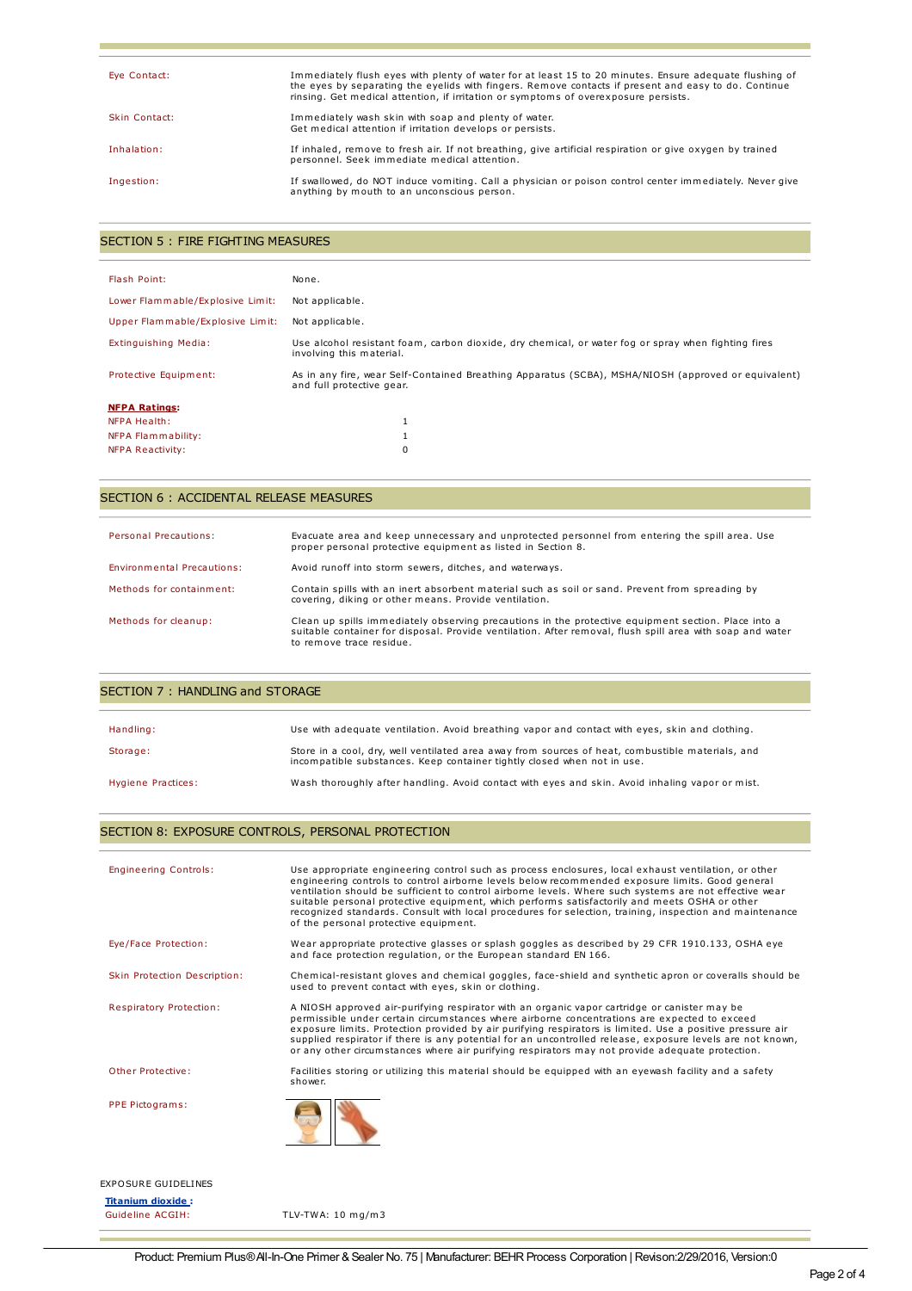| Eye Contact:  | Immediately flush eyes with plenty of water for at least 15 to 20 minutes. Ensure adequate flushing of<br>the eyes by separating the eyelids with fingers. Remove contacts if present and easy to do. Continue<br>rinsing. Get medical attention, if irritation or symptoms of overexposure persists. |
|---------------|-------------------------------------------------------------------------------------------------------------------------------------------------------------------------------------------------------------------------------------------------------------------------------------------------------|
| Skin Contact: | Immediately wash skin with soap and plenty of water.<br>Get medical attention if irritation develops or persists.                                                                                                                                                                                     |
| Inhalation:   | If inhaled, remove to fresh air. If not breathing, give artificial respiration or give oxygen by trained<br>personnel. Seek immediate medical attention.                                                                                                                                              |
| Ingestion:    | If swallowed, do NOT induce vomiting. Call a physician or poison control center immediately. Never give<br>anything by mouth to an unconscious person.                                                                                                                                                |

### SECTION 5 : FIRE FIGHTING MEASURES

| Flash Point:                     | None.                                                                                                                            |
|----------------------------------|----------------------------------------------------------------------------------------------------------------------------------|
| Lower Flammable/Explosive Limit: | Not applicable.                                                                                                                  |
| Upper Flammable/Explosive Limit: | Not applicable.                                                                                                                  |
| Extinguishing Media:             | Use alcohol resistant foam, carbon dioxide, dry chemical, or water fog or spray when fighting fires<br>involving this material.  |
| Protective Equipment:            | As in any fire, wear Self-Contained Breathing Apparatus (SCBA), MSHA/NIOSH (approved or equivalent)<br>and full protective gear. |
| <b>NFPA Ratings:</b>             |                                                                                                                                  |
| NFPA Health:                     |                                                                                                                                  |
| NFPA Flammability:               |                                                                                                                                  |
| <b>NFPA Reactivity:</b>          | 0                                                                                                                                |

## SECTION 6 : ACCIDENTAL RELEASE MEASURES

| Personal Precautions:      | Evacuate area and keep unnecessary and unprotected personnel from entering the spill area. Use<br>proper personal protective equipment as listed in Section 8.                                                                               |
|----------------------------|----------------------------------------------------------------------------------------------------------------------------------------------------------------------------------------------------------------------------------------------|
| Environmental Precautions: | Avoid runoff into storm sewers, ditches, and waterways.                                                                                                                                                                                      |
| Methods for containment:   | Contain spills with an inert absorbent material such as soil or sand. Prevent from spreading by<br>covering, diking or other means. Provide ventilation.                                                                                     |
| Methods for cleanup:       | Clean up spills immediately observing precautions in the protective equipment section. Place into a<br>suitable container for disposal. Provide ventilation. After removal, flush spill area with soap and water<br>to remove trace residue. |

| SECTION 7: HANDLING and STORAGE |                                                                                                                                                                             |  |
|---------------------------------|-----------------------------------------------------------------------------------------------------------------------------------------------------------------------------|--|
|                                 |                                                                                                                                                                             |  |
| Handling:                       | Use with adequate ventilation. Avoid breathing vapor and contact with eyes, skin and clothing.                                                                              |  |
| Storage:                        | Store in a cool, dry, well ventilated area away from sources of heat, combustible materials, and<br>incompatible substances. Keep container tightly closed when not in use. |  |
| Hygiene Practices:              | Wash thoroughly after handling. Avoid contact with eyes and skin. Avoid inhaling vapor or mist.                                                                             |  |

## SECTION 8: EXPOSURE CONTROLS, PERSONAL PROTECTION

| <b>Engineering Controls:</b> | Use appropriate engineering control such as process enclosures, local exhaust ventilation, or other<br>engineering controls to control airborne levels below recommended exposure limits. Good general<br>ventilation should be sufficient to control airborne levels. Where such systems are not effective wear<br>suitable personal protective equipment, which performs satisfactorily and meets OSHA or other<br>recognized standards. Consult with local procedures for selection, training, inspection and maintenance<br>of the personal protective equipment. |
|------------------------------|-----------------------------------------------------------------------------------------------------------------------------------------------------------------------------------------------------------------------------------------------------------------------------------------------------------------------------------------------------------------------------------------------------------------------------------------------------------------------------------------------------------------------------------------------------------------------|
| Eve/Face Protection:         | Wear appropriate protective glasses or splash goggles as described by 29 CFR 1910.133, OSHA eye<br>and face protection regulation, or the European standard EN 166.                                                                                                                                                                                                                                                                                                                                                                                                   |
| Skin Protection Description: | Chemical-resistant gloves and chemical goggles, face-shield and synthetic apron or coveralls should be<br>used to prevent contact with eyes, skin or clothing.                                                                                                                                                                                                                                                                                                                                                                                                        |
| Respiratory Protection:      | A NIOSH approved air-purifying respirator with an organic vapor cartridge or canister may be<br>permissible under certain circumstances where airborne concentrations are expected to exceed<br>exposure limits. Protection provided by air purifying respirators is limited. Use a positive pressure air<br>supplied respirator if there is any potential for an uncontrolled release, exposure levels are not known,<br>or any other circumstances where air purifying respirators may not provide adequate protection.                                             |
| Other Protective:            | Facilities storing or utilizing this material should be equipped with an eyewash facility and a safety<br>shower.                                                                                                                                                                                                                                                                                                                                                                                                                                                     |
| PPE Pictograms:              |                                                                                                                                                                                                                                                                                                                                                                                                                                                                                                                                                                       |
|                              |                                                                                                                                                                                                                                                                                                                                                                                                                                                                                                                                                                       |

**Titanium dioxide :**

TLV-TWA:  $10 \text{ mg/m3}$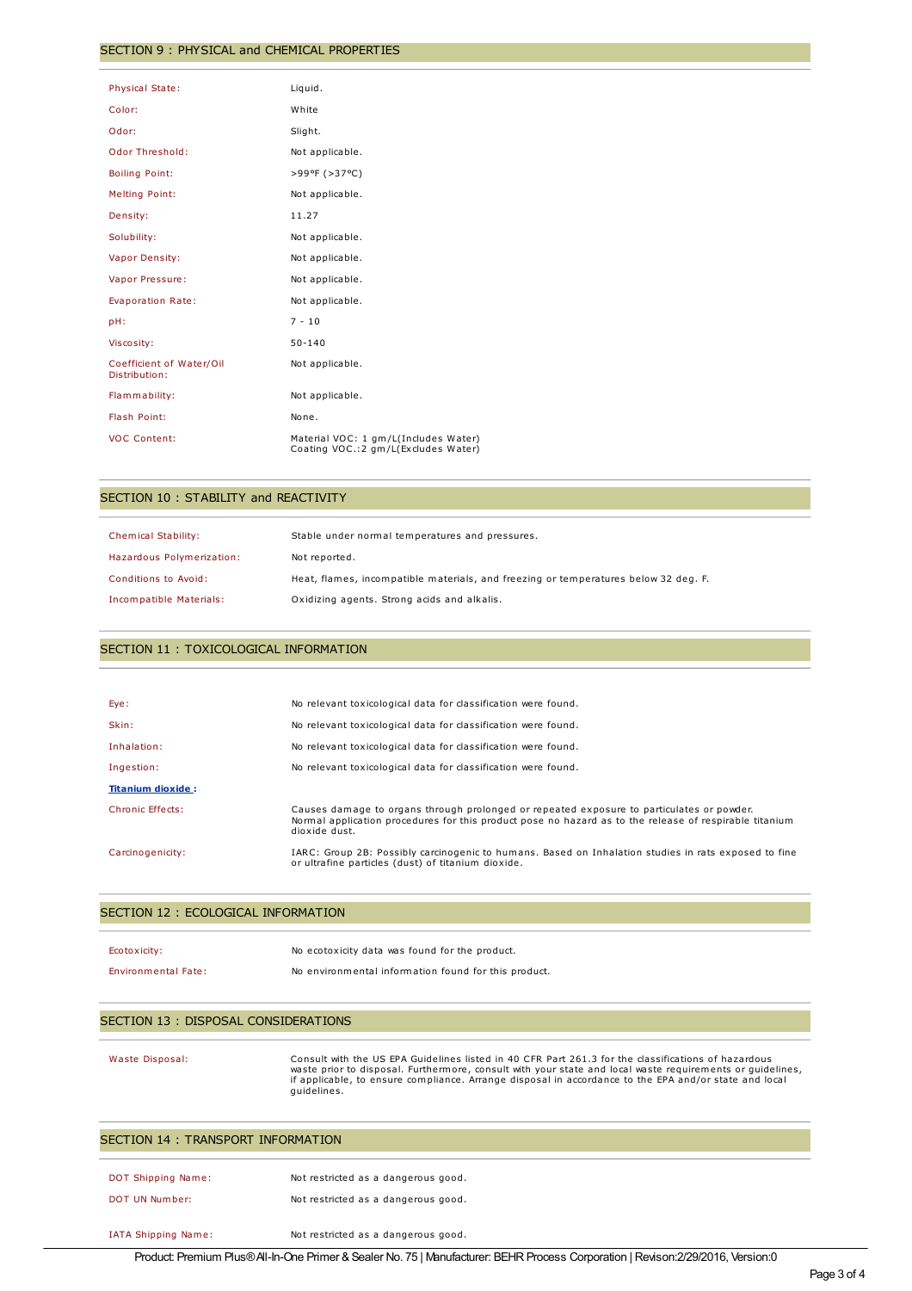#### SECTION 9 : PHYSICAL and CHEMICAL PROPERTIES

| <b>Physical State:</b>                    | Liquid.                                                                      |
|-------------------------------------------|------------------------------------------------------------------------------|
| Color:                                    | White                                                                        |
|                                           |                                                                              |
| Odor:                                     | Slight.                                                                      |
| Odor Threshold:                           | Not applicable.                                                              |
| <b>Boiling Point:</b>                     | >99ºF (>37°C)                                                                |
| <b>Melting Point:</b>                     | Not applicable.                                                              |
| Density:                                  | 11.27                                                                        |
| Solubility:                               | Not applicable.                                                              |
| Vapor Density:                            | Not applicable.                                                              |
| Vapor Pressure:                           | Not applicable.                                                              |
| Evaporation Rate:                         | Not applicable.                                                              |
| pH:                                       | $7 - 10$                                                                     |
| Viscosity:                                | $50 - 140$                                                                   |
| Coefficient of Water/Oil<br>Distribution: | Not applicable.                                                              |
| Flammability:                             | Not applicable.                                                              |
| Flash Point:                              | None.                                                                        |
| <b>VOC Content:</b>                       | Material VOC: 1 gm/L(Includes Water)<br>Coating VOC.: 2 gm/L(Excludes Water) |

### SECTION 10 : STABILITY and REACTIVITY

| Chemical Stability:       | Stable under normal temperatures and pressures.                                     |
|---------------------------|-------------------------------------------------------------------------------------|
| Hazardous Polymerization: | Not reported.                                                                       |
| Conditions to Avoid:      | Heat, flames, incompatible materials, and freezing or temperatures below 32 deg. F. |
| Incompatible Materials:   | Oxidizing agents. Strong acids and alkalis.                                         |

## SECTION 11 : TOXICOLOGICAL INFORMATION

| Eye:                     | No relevant toxicological data for classification were found.                                                                                                                                                        |
|--------------------------|----------------------------------------------------------------------------------------------------------------------------------------------------------------------------------------------------------------------|
| Skin:                    | No relevant toxicological data for classification were found.                                                                                                                                                        |
| Inhalation:              | No relevant toxicological data for classification were found.                                                                                                                                                        |
| Ingestion:               | No relevant toxicological data for classification were found.                                                                                                                                                        |
| <b>Titanium dioxide:</b> |                                                                                                                                                                                                                      |
| Chronic Effects:         | Causes damage to organs through prolonged or repeated exposure to particulates or powder.<br>Normal application procedures for this product pose no hazard as to the release of respirable titanium<br>dioxide dust. |
| Carcinogenicity:         | IARC: Group 2B: Possibly carcinogenic to humans. Based on Inhalation studies in rats exposed to fine<br>or ultrafine particles (dust) of titanium dioxide.                                                           |

#### SECTION 12 : ECOLOGICAL INFORMATION

| Ecotoxicity:               | No ecotoxicity data was found for the product.       |
|----------------------------|------------------------------------------------------|
| <b>Environmental Fate:</b> | No environmental information found for this product. |

IATA Shipping Name: Not restricted as a dangerous good.

### SECTION 13 : DISPOSAL CONSIDERATIONS

Waste Disposal: Consult with the US EPA Guidelines listed in 40 CFR Part 261.3 for the classifications of hazardous waste prior to disposal. Furthermore, consult with your state and local waste requirements or guidelines, if applicable, to ensure compliance. Arrange disposal in accordance to the EPA and/or state and local guidelines.

| SECTION 14 : TRANSPORT INFORMATION |                                     |  |
|------------------------------------|-------------------------------------|--|
| <b>DOT Shipping Name:</b>          | Not restricted as a dangerous good. |  |
| DOT UN Number:                     | Not restricted as a dangerous good. |  |